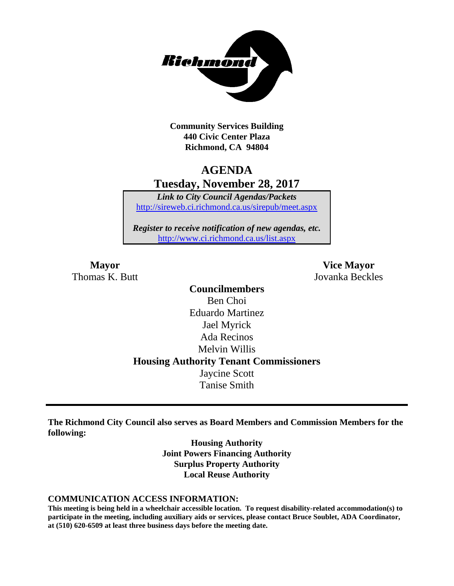

**Community Services Building 440 Civic Center Plaza Richmond, CA 94804**

# **AGENDA Tuesday, November 28, 2017**

*Link to City Council Agendas/Packets* <http://sireweb.ci.richmond.ca.us/sirepub/meet.aspx>

*Register to receive notification of new agendas, etc.* <http://www.ci.richmond.ca.us/list.aspx>

Thomas K. Butt Jovanka Beckles

**Mayor Vice Mayor**

**Councilmembers** Ben Choi Eduardo Martinez Jael Myrick Ada Recinos Melvin Willis **Housing Authority Tenant Commissioners** Jaycine Scott Tanise Smith

**The Richmond City Council also serves as Board Members and Commission Members for the following:**

> **Housing Authority Joint Powers Financing Authority Surplus Property Authority Local Reuse Authority**

#### **COMMUNICATION ACCESS INFORMATION:**

**This meeting is being held in a wheelchair accessible location. To request disability-related accommodation(s) to participate in the meeting, including auxiliary aids or services, please contact Bruce Soublet, ADA Coordinator, at (510) 620-6509 at least three business days before the meeting date.**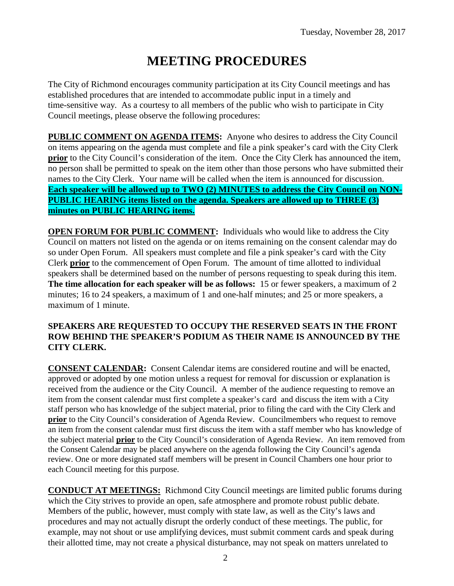# **MEETING PROCEDURES**

The City of Richmond encourages community participation at its City Council meetings and has established procedures that are intended to accommodate public input in a timely and time-sensitive way. As a courtesy to all members of the public who wish to participate in City Council meetings, please observe the following procedures:

**PUBLIC COMMENT ON AGENDA ITEMS:** Anyone who desires to address the City Council on items appearing on the agenda must complete and file a pink speaker's card with the City Clerk **prior** to the City Council's consideration of the item. Once the City Clerk has announced the item, no person shall be permitted to speak on the item other than those persons who have submitted their names to the City Clerk. Your name will be called when the item is announced for discussion. **Each speaker will be allowed up to TWO (2) MINUTES to address the City Council on NON-PUBLIC HEARING items listed on the agenda. Speakers are allowed up to THREE (3) minutes on PUBLIC HEARING items.**

**OPEN FORUM FOR PUBLIC COMMENT:** Individuals who would like to address the City Council on matters not listed on the agenda or on items remaining on the consent calendar may do so under Open Forum. All speakers must complete and file a pink speaker's card with the City Clerk **prior** to the commencement of Open Forum. The amount of time allotted to individual speakers shall be determined based on the number of persons requesting to speak during this item. **The time allocation for each speaker will be as follows:** 15 or fewer speakers, a maximum of 2 minutes; 16 to 24 speakers, a maximum of 1 and one-half minutes; and 25 or more speakers, a maximum of 1 minute.

## **SPEAKERS ARE REQUESTED TO OCCUPY THE RESERVED SEATS IN THE FRONT ROW BEHIND THE SPEAKER'S PODIUM AS THEIR NAME IS ANNOUNCED BY THE CITY CLERK.**

**CONSENT CALENDAR:** Consent Calendar items are considered routine and will be enacted, approved or adopted by one motion unless a request for removal for discussion or explanation is received from the audience or the City Council. A member of the audience requesting to remove an item from the consent calendar must first complete a speaker's card and discuss the item with a City staff person who has knowledge of the subject material, prior to filing the card with the City Clerk and **prior** to the City Council's consideration of Agenda Review. Councilmembers who request to remove an item from the consent calendar must first discuss the item with a staff member who has knowledge of the subject material **prior** to the City Council's consideration of Agenda Review. An item removed from the Consent Calendar may be placed anywhere on the agenda following the City Council's agenda review. One or more designated staff members will be present in Council Chambers one hour prior to each Council meeting for this purpose.

**CONDUCT AT MEETINGS:** Richmond City Council meetings are limited public forums during which the City strives to provide an open, safe atmosphere and promote robust public debate. Members of the public, however, must comply with state law, as well as the City's laws and procedures and may not actually disrupt the orderly conduct of these meetings. The public, for example, may not shout or use amplifying devices, must submit comment cards and speak during their allotted time, may not create a physical disturbance, may not speak on matters unrelated to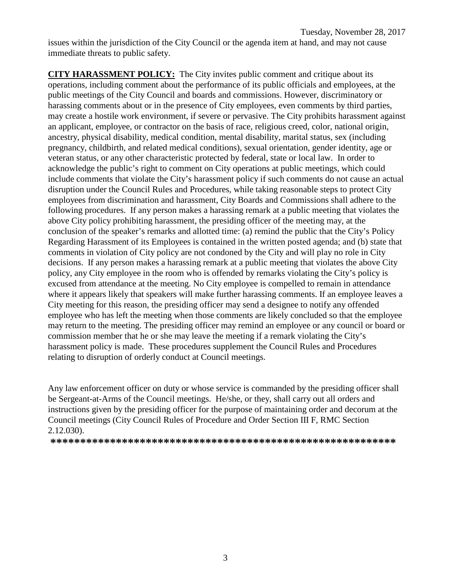issues within the jurisdiction of the City Council or the agenda item at hand, and may not cause immediate threats to public safety.

**CITY HARASSMENT POLICY:** The City invites public comment and critique about its operations, including comment about the performance of its public officials and employees, at the public meetings of the City Council and boards and commissions. However, discriminatory or harassing comments about or in the presence of City employees, even comments by third parties, may create a hostile work environment, if severe or pervasive. The City prohibits harassment against an applicant, employee, or contractor on the basis of race, religious creed, color, national origin, ancestry, physical disability, medical condition, mental disability, marital status, sex (including pregnancy, childbirth, and related medical conditions), sexual orientation, gender identity, age or veteran status, or any other characteristic protected by federal, state or local law. In order to acknowledge the public's right to comment on City operations at public meetings, which could include comments that violate the City's harassment policy if such comments do not cause an actual disruption under the Council Rules and Procedures, while taking reasonable steps to protect City employees from discrimination and harassment, City Boards and Commissions shall adhere to the following procedures. If any person makes a harassing remark at a public meeting that violates the above City policy prohibiting harassment, the presiding officer of the meeting may, at the conclusion of the speaker's remarks and allotted time: (a) remind the public that the City's Policy Regarding Harassment of its Employees is contained in the written posted agenda; and (b) state that comments in violation of City policy are not condoned by the City and will play no role in City decisions. If any person makes a harassing remark at a public meeting that violates the above City policy, any City employee in the room who is offended by remarks violating the City's policy is excused from attendance at the meeting. No City employee is compelled to remain in attendance where it appears likely that speakers will make further harassing comments. If an employee leaves a City meeting for this reason, the presiding officer may send a designee to notify any offended employee who has left the meeting when those comments are likely concluded so that the employee may return to the meeting. The presiding officer may remind an employee or any council or board or commission member that he or she may leave the meeting if a remark violating the City's harassment policy is made. These procedures supplement the Council Rules and Procedures relating to disruption of orderly conduct at Council meetings.

Any law enforcement officer on duty or whose service is commanded by the presiding officer shall be Sergeant-at-Arms of the Council meetings. He/she, or they, shall carry out all orders and instructions given by the presiding officer for the purpose of maintaining order and decorum at the Council meetings (City Council Rules of Procedure and Order Section III F, RMC Section 2.12.030).

**\*\*\*\*\*\*\*\*\*\*\*\*\*\*\*\*\*\*\*\*\*\*\*\*\*\*\*\*\*\*\*\*\*\*\*\*\*\*\*\*\*\*\*\*\*\*\*\*\*\*\*\*\*\*\*\*\*\***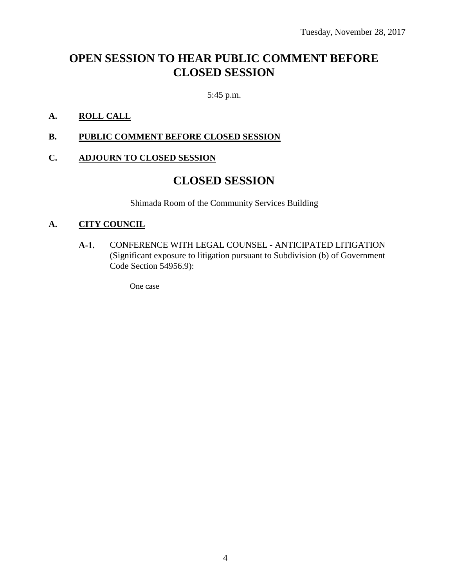# **OPEN SESSION TO HEAR PUBLIC COMMENT BEFORE CLOSED SESSION**

5:45 p.m.

## **A. ROLL CALL**

**B. PUBLIC COMMENT BEFORE CLOSED SESSION**

### **C. ADJOURN TO CLOSED SESSION**

# **CLOSED SESSION**

Shimada Room of the Community Services Building

### **A. CITY COUNCIL**

**A-1.** CONFERENCE WITH LEGAL COUNSEL - ANTICIPATED LITIGATION (Significant exposure to litigation pursuant to Subdivision (b) of Government Code Section 54956.9):

One case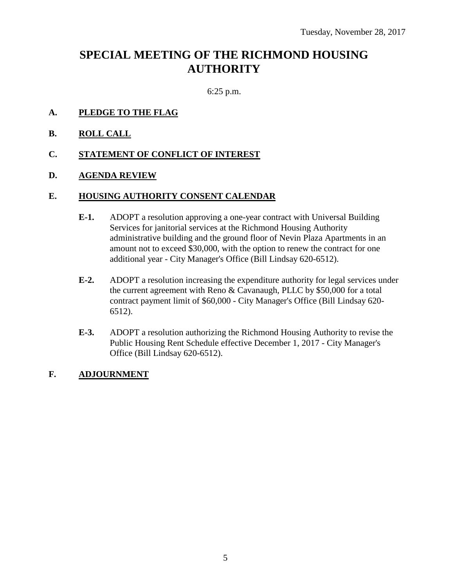# **SPECIAL MEETING OF THE RICHMOND HOUSING AUTHORITY**

6:25 p.m.

- **A. PLEDGE TO THE FLAG**
- **B. ROLL CALL**
- **C. STATEMENT OF CONFLICT OF INTEREST**
- **D. AGENDA REVIEW**

#### **E. HOUSING AUTHORITY CONSENT CALENDAR**

- **E-1.** ADOPT a resolution approving a one-year contract with Universal Building Services for janitorial services at the Richmond Housing Authority administrative building and the ground floor of Nevin Plaza Apartments in an amount not to exceed \$30,000, with the option to renew the contract for one additional year - City Manager's Office (Bill Lindsay 620-6512).
- **E-2.** ADOPT a resolution increasing the expenditure authority for legal services under the current agreement with Reno & Cavanaugh, PLLC by \$50,000 for a total contract payment limit of \$60,000 - City Manager's Office (Bill Lindsay 620- 6512).
- **E-3.** ADOPT a resolution authorizing the Richmond Housing Authority to revise the Public Housing Rent Schedule effective December 1, 2017 - City Manager's Office (Bill Lindsay 620-6512).
- **F. ADJOURNMENT**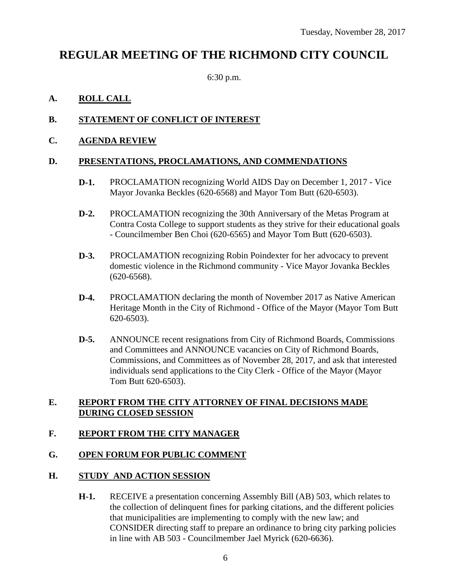# **REGULAR MEETING OF THE RICHMOND CITY COUNCIL**

6:30 p.m.

# **A. ROLL CALL**

# **B. STATEMENT OF CONFLICT OF INTEREST**

### **C. AGENDA REVIEW**

### **D. PRESENTATIONS, PROCLAMATIONS, AND COMMENDATIONS**

- **D-1.** PROCLAMATION recognizing World AIDS Day on December 1, 2017 Vice Mayor Jovanka Beckles (620-6568) and Mayor Tom Butt (620-6503).
- **D-2.** PROCLAMATION recognizing the 30th Anniversary of the Metas Program at Contra Costa College to support students as they strive for their educational goals - Councilmember Ben Choi (620-6565) and Mayor Tom Butt (620-6503).
- **D-3.** PROCLAMATION recognizing Robin Poindexter for her advocacy to prevent domestic violence in the Richmond community - Vice Mayor Jovanka Beckles (620-6568).
- **D-4.** PROCLAMATION declaring the month of November 2017 as Native American Heritage Month in the City of Richmond - Office of the Mayor (Mayor Tom Butt 620-6503).
- **D-5.** ANNOUNCE recent resignations from City of Richmond Boards, Commissions and Committees and ANNOUNCE vacancies on City of Richmond Boards, Commissions, and Committees as of November 28, 2017, and ask that interested individuals send applications to the City Clerk - Office of the Mayor (Mayor Tom Butt 620-6503).

### **E. REPORT FROM THE CITY ATTORNEY OF FINAL DECISIONS MADE DURING CLOSED SESSION**

### **F. REPORT FROM THE CITY MANAGER**

### **G. OPEN FORUM FOR PUBLIC COMMENT**

### **H. STUDY AND ACTION SESSION**

**H-1.** RECEIVE a presentation concerning Assembly Bill (AB) 503, which relates to the collection of delinquent fines for parking citations, and the different policies that municipalities are implementing to comply with the new law; and CONSIDER directing staff to prepare an ordinance to bring city parking policies in line with AB 503 - Councilmember Jael Myrick (620-6636).